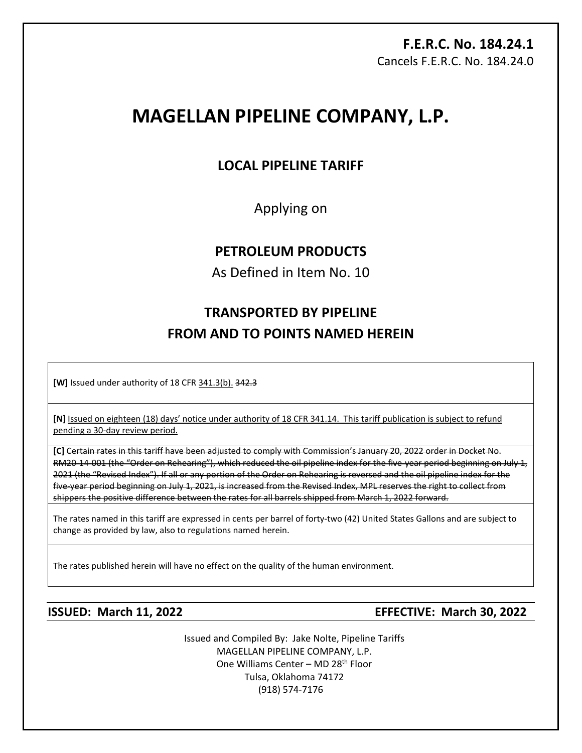# **F.E.R.C. No. 184.24.1**  Cancels F.E.R.C. No. 184.24.0

# **MAGELLAN PIPELINE COMPANY, L.P.**

# **LOCAL PIPELINE TARIFF**

Applying on

# **PETROLEUM PRODUCTS**

As Defined in Item No. 10

# **TRANSPORTED BY PIPELINE FROM AND TO POINTS NAMED HEREIN**

**[W]** Issued under authority of 18 CFR 341.3(b). 342.3

**[N]** Issued on eighteen (18) days' notice under authority of 18 CFR 341.14. This tariff publication is subject to refund pending a 30-day review period.

**[C]** Certain rates in this tariff have been adjusted to comply with Commission's January 20, 2022 order in Docket No. RM20-14-001 (the "Order on Rehearing"), which reduced the oil pipeline index for the five-year period beginning on July 1, 2021 (the "Revised Index"). If all or any portion of the Order on Rehearing is reversed and the oil pipeline index for the five-year period beginning on July 1, 2021, is increased from the Revised Index, MPL reserves the right to collect from shippers the positive difference between the rates for all barrels shipped from March 1, 2022 forward.

The rates named in this tariff are expressed in cents per barrel of forty-two (42) United States Gallons and are subject to change as provided by law, also to regulations named herein.

The rates published herein will have no effect on the quality of the human environment.

**ISSUED: March 11, 2022 EFFECTIVE: March 30, 2022**

Issued and Compiled By: Jake Nolte, Pipeline Tariffs MAGELLAN PIPELINE COMPANY, L.P. One Williams Center - MD 28<sup>th</sup> Floor Tulsa, Oklahoma 74172 (918) 574-7176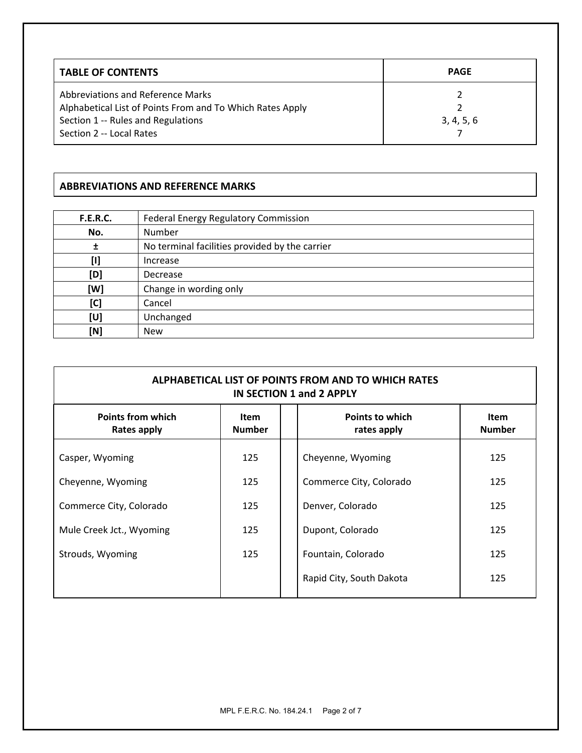| <b>TABLE OF CONTENTS</b>                                                                                                                                         | <b>PAGE</b> |
|------------------------------------------------------------------------------------------------------------------------------------------------------------------|-------------|
| Abbreviations and Reference Marks<br>Alphabetical List of Points From and To Which Rates Apply<br>Section 1 -- Rules and Regulations<br>Section 2 -- Local Rates | 3, 4, 5, 6  |

# **ABBREVIATIONS AND REFERENCE MARKS**

| <b>F.E.R.C.</b> | Federal Energy Regulatory Commission           |
|-----------------|------------------------------------------------|
| No.             | Number                                         |
| Ŧ               | No terminal facilities provided by the carrier |
| $[1]$           | Increase                                       |
| [D]             | Decrease                                       |
| [W]             | Change in wording only                         |
| [C]             | Cancel                                         |
| [U]             | Unchanged                                      |
| [N]             | <b>New</b>                                     |

| ALPHABETICAL LIST OF POINTS FROM AND TO WHICH RATES<br>IN SECTION 1 and 2 APPLY |                              |                                       |                              |  |  |  |
|---------------------------------------------------------------------------------|------------------------------|---------------------------------------|------------------------------|--|--|--|
| <b>Points from which</b><br><b>Rates apply</b>                                  | <b>Item</b><br><b>Number</b> | <b>Points to which</b><br>rates apply | <b>Item</b><br><b>Number</b> |  |  |  |
| Casper, Wyoming                                                                 | 125                          | Cheyenne, Wyoming                     | 125                          |  |  |  |
| Cheyenne, Wyoming                                                               | 125                          | Commerce City, Colorado               | 125                          |  |  |  |
| Commerce City, Colorado                                                         | 125                          | Denver, Colorado                      | 125                          |  |  |  |
| Mule Creek Jct., Wyoming                                                        | 125                          | Dupont, Colorado                      | 125                          |  |  |  |
| Strouds, Wyoming                                                                | 125                          | Fountain, Colorado                    | 125                          |  |  |  |
|                                                                                 |                              | Rapid City, South Dakota              | 125                          |  |  |  |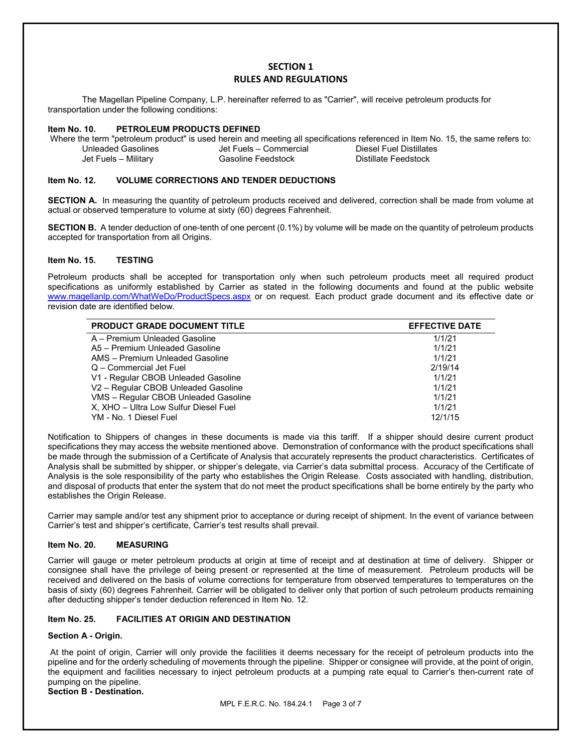### **SECTION 1 RULES AND REGULATIONS**

The Magellan Pipeline Company, L.P. hereinafter referred to as "Carrier", will receive petroleum products for transportation under the following conditions:

#### **Item No. 10. PETROLEUM PRODUCTS DEFINED**

Where the term "petroleum product" is used herein and meeting all specifications referenced in Item No. 15, the same refers to:<br>Unleaded Gasolines Unleaded Gasolines Jet Fuels – Commercial Diesel Fuel Distillates Jet Fuels – Commercial Jet Fuels – Military Gasoline Feedstock Distillate Feedstock

#### **Item No. 12. VOLUME CORRECTIONS AND TENDER DEDUCTIONS**

**SECTION A.** In measuring the quantity of petroleum products received and delivered, correction shall be made from volume at actual or observed temperature to volume at sixty (60) degrees Fahrenheit.

**SECTION B.** A tender deduction of one-tenth of one percent (0.1%) by volume will be made on the quantity of petroleum products accepted for transportation from all Origins.

#### **Item No. 15. TESTING**

Petroleum products shall be accepted for transportation only when such petroleum products meet all required product specifications as uniformly established by Carrier as stated in the following documents and found at the public website [www.magellanlp.com/WhatWeDo/ProductSpecs.aspx](http://www.magellanlp.com/WhatWeDo/ProductSpecs.aspx) or on request. Each product grade document and its effective date or revision date are identified below.

| <b>PRODUCT GRADE DOCUMENT TITLE</b>   | <b>EFFECTIVE DATE</b> |
|---------------------------------------|-----------------------|
| A - Premium Unleaded Gasoline         | 1/1/21                |
| A5 - Premium Unleaded Gasoline        | 1/1/21                |
| AMS - Premium Unleaded Gasoline       | 1/1/21                |
| Q - Commercial Jet Fuel               | 2/19/14               |
| V1 - Regular CBOB Unleaded Gasoline   | 1/1/21                |
| V2 - Regular CBOB Unleaded Gasoline   | 1/1/21                |
| VMS - Regular CBOB Unleaded Gasoline  | 1/1/21                |
| X, XHO - Ultra Low Sulfur Diesel Fuel | 1/1/21                |
| YM - No. 1 Diesel Fuel                | 12/1/15               |

Notification to Shippers of changes in these documents is made via this tariff. If a shipper should desire current product specifications they may access the website mentioned above. Demonstration of conformance with the product specifications shall be made through the submission of a Certificate of Analysis that accurately represents the product characteristics. Certificates of Analysis shall be submitted by shipper, or shipper's delegate, via Carrier's data submittal process. Accuracy of the Certificate of Analysis is the sole responsibility of the party who establishes the Origin Release. Costs associated with handling, distribution, and disposal of products that enter the system that do not meet the product specifications shall be borne entirely by the party who establishes the Origin Release.

Carrier may sample and/or test any shipment prior to acceptance or during receipt of shipment. In the event of variance between Carrier's test and shipper's certificate, Carrier's test results shall prevail.

#### **Item No. 20. MEASURING**

Carrier will gauge or meter petroleum products at origin at time of receipt and at destination at time of delivery. Shipper or consignee shall have the privilege of being present or represented at the time of measurement. Petroleum products will be received and delivered on the basis of volume corrections for temperature from observed temperatures to temperatures on the basis of sixty (60) degrees Fahrenheit. Carrier will be obligated to deliver only that portion of such petroleum products remaining after deducting shipper's tender deduction referenced in Item No. 12.

#### **Item No. 25. FACILITIES AT ORIGIN AND DESTINATION**

#### **Section A - Origin.**

At the point of origin, Carrier will only provide the facilities it deems necessary for the receipt of petroleum products into the pipeline and for the orderly scheduling of movements through the pipeline. Shipper or consignee will provide, at the point of origin, the equipment and facilities necessary to inject petroleum products at a pumping rate equal to Carrier's then-current rate of pumping on the pipeline.

**Section B - Destination.**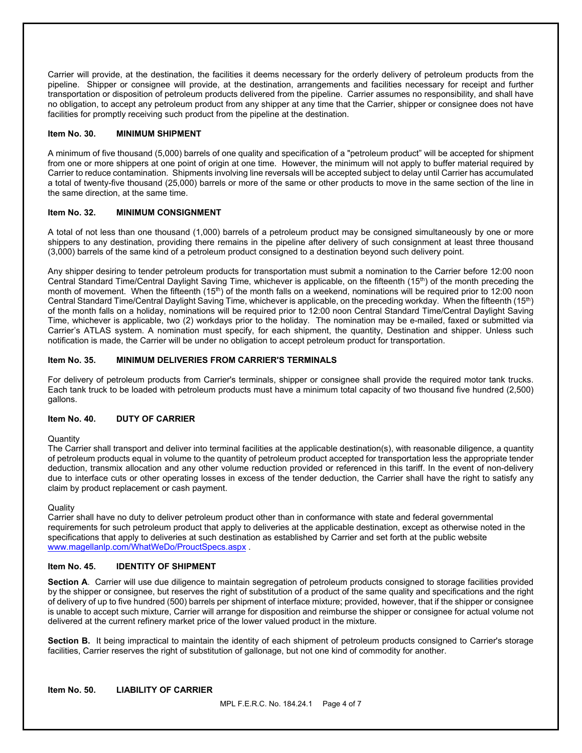Carrier will provide, at the destination, the facilities it deems necessary for the orderly delivery of petroleum products from the pipeline. Shipper or consignee will provide, at the destination, arrangements and facilities necessary for receipt and further transportation or disposition of petroleum products delivered from the pipeline. Carrier assumes no responsibility, and shall have no obligation, to accept any petroleum product from any shipper at any time that the Carrier, shipper or consignee does not have facilities for promptly receiving such product from the pipeline at the destination.

#### **Item No. 30. MINIMUM SHIPMENT**

A minimum of five thousand (5,000) barrels of one quality and specification of a "petroleum product" will be accepted for shipment from one or more shippers at one point of origin at one time. However, the minimum will not apply to buffer material required by Carrier to reduce contamination. Shipments involving line reversals will be accepted subject to delay until Carrier has accumulated a total of twenty-five thousand (25,000) barrels or more of the same or other products to move in the same section of the line in the same direction, at the same time.

#### **Item No. 32. MINIMUM CONSIGNMENT**

A total of not less than one thousand (1,000) barrels of a petroleum product may be consigned simultaneously by one or more shippers to any destination, providing there remains in the pipeline after delivery of such consignment at least three thousand (3,000) barrels of the same kind of a petroleum product consigned to a destination beyond such delivery point.

Any shipper desiring to tender petroleum products for transportation must submit a nomination to the Carrier before 12:00 noon Central Standard Time/Central Daylight Saving Time, whichever is applicable, on the fifteenth (15th) of the month preceding the month of movement. When the fifteenth (15<sup>th</sup>) of the month falls on a weekend, nominations will be required prior to 12:00 noon Central Standard Time/Central Daylight Saving Time, whichever is applicable, on the preceding workday. When the fifteenth (15th) of the month falls on a holiday, nominations will be required prior to 12:00 noon Central Standard Time/Central Daylight Saving Time, whichever is applicable, two (2) workdays prior to the holiday. The nomination may be e-mailed, faxed or submitted via Carrier's ATLAS system. A nomination must specify, for each shipment, the quantity, Destination and shipper. Unless such notification is made, the Carrier will be under no obligation to accept petroleum product for transportation.

#### **Item No. 35. MINIMUM DELIVERIES FROM CARRIER'S TERMINALS**

For delivery of petroleum products from Carrier's terminals, shipper or consignee shall provide the required motor tank trucks. Each tank truck to be loaded with petroleum products must have a minimum total capacity of two thousand five hundred (2,500) gallons.

#### **Item No. 40. DUTY OF CARRIER**

#### **Quantity**

The Carrier shall transport and deliver into terminal facilities at the applicable destination(s), with reasonable diligence, a quantity of petroleum products equal in volume to the quantity of petroleum product accepted for transportation less the appropriate tender deduction, transmix allocation and any other volume reduction provided or referenced in this tariff. In the event of non-delivery due to interface cuts or other operating losses in excess of the tender deduction, the Carrier shall have the right to satisfy any claim by product replacement or cash payment.

#### **Quality**

Carrier shall have no duty to deliver petroleum product other than in conformance with state and federal governmental requirements for such petroleum product that apply to deliveries at the applicable destination, except as otherwise noted in the specifications that apply to deliveries at such destination as established by Carrier and set forth at the public website [www.magellanlp.com/WhatWeDo/ProuctSpecs.aspx](http://www.magellanlp.com/WhatWeDo/ProuctSpecs.aspx) .

#### **Item No. 45. IDENTITY OF SHIPMENT**

**Section A**. Carrier will use due diligence to maintain segregation of petroleum products consigned to storage facilities provided by the shipper or consignee, but reserves the right of substitution of a product of the same quality and specifications and the right of delivery of up to five hundred (500) barrels per shipment of interface mixture; provided, however, that if the shipper or consignee is unable to accept such mixture, Carrier will arrange for disposition and reimburse the shipper or consignee for actual volume not delivered at the current refinery market price of the lower valued product in the mixture.

**Section B.** It being impractical to maintain the identity of each shipment of petroleum products consigned to Carrier's storage facilities, Carrier reserves the right of substitution of gallonage, but not one kind of commodity for another.

#### **Item No. 50. LIABILITY OF CARRIER**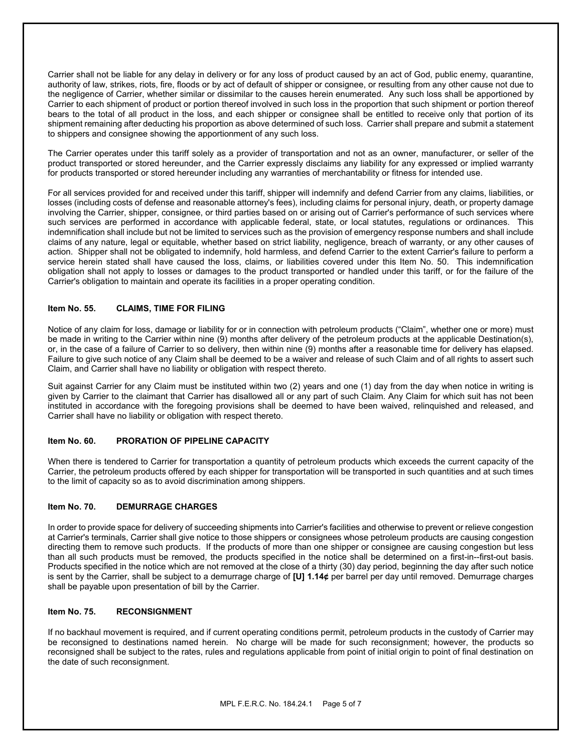Carrier shall not be liable for any delay in delivery or for any loss of product caused by an act of God, public enemy, quarantine, authority of law, strikes, riots, fire, floods or by act of default of shipper or consignee, or resulting from any other cause not due to the negligence of Carrier, whether similar or dissimilar to the causes herein enumerated. Any such loss shall be apportioned by Carrier to each shipment of product or portion thereof involved in such loss in the proportion that such shipment or portion thereof bears to the total of all product in the loss, and each shipper or consignee shall be entitled to receive only that portion of its shipment remaining after deducting his proportion as above determined of such loss. Carrier shall prepare and submit a statement to shippers and consignee showing the apportionment of any such loss.

The Carrier operates under this tariff solely as a provider of transportation and not as an owner, manufacturer, or seller of the product transported or stored hereunder, and the Carrier expressly disclaims any liability for any expressed or implied warranty for products transported or stored hereunder including any warranties of merchantability or fitness for intended use.

For all services provided for and received under this tariff, shipper will indemnify and defend Carrier from any claims, liabilities, or losses (including costs of defense and reasonable attorney's fees), including claims for personal injury, death, or property damage involving the Carrier, shipper, consignee, or third parties based on or arising out of Carrier's performance of such services where such services are performed in accordance with applicable federal, state, or local statutes, regulations or ordinances. This indemnification shall include but not be limited to services such as the provision of emergency response numbers and shall include claims of any nature, legal or equitable, whether based on strict liability, negligence, breach of warranty, or any other causes of action. Shipper shall not be obligated to indemnify, hold harmless, and defend Carrier to the extent Carrier's failure to perform a service herein stated shall have caused the loss, claims, or liabilities covered under this Item No. 50. This indemnification obligation shall not apply to losses or damages to the product transported or handled under this tariff, or for the failure of the Carrier's obligation to maintain and operate its facilities in a proper operating condition.

#### **Item No. 55. CLAIMS, TIME FOR FILING**

Notice of any claim for loss, damage or liability for or in connection with petroleum products ("Claim", whether one or more) must be made in writing to the Carrier within nine (9) months after delivery of the petroleum products at the applicable Destination(s), or, in the case of a failure of Carrier to so delivery, then within nine (9) months after a reasonable time for delivery has elapsed. Failure to give such notice of any Claim shall be deemed to be a waiver and release of such Claim and of all rights to assert such Claim, and Carrier shall have no liability or obligation with respect thereto.

Suit against Carrier for any Claim must be instituted within two (2) years and one (1) day from the day when notice in writing is given by Carrier to the claimant that Carrier has disallowed all or any part of such Claim. Any Claim for which suit has not been instituted in accordance with the foregoing provisions shall be deemed to have been waived, relinquished and released, and Carrier shall have no liability or obligation with respect thereto.

#### **Item No. 60. PRORATION OF PIPELINE CAPACITY**

When there is tendered to Carrier for transportation a quantity of petroleum products which exceeds the current capacity of the Carrier, the petroleum products offered by each shipper for transportation will be transported in such quantities and at such times to the limit of capacity so as to avoid discrimination among shippers.

#### **Item No. 70. DEMURRAGE CHARGES**

In order to provide space for delivery of succeeding shipments into Carrier's facilities and otherwise to prevent or relieve congestion at Carrier's terminals, Carrier shall give notice to those shippers or consignees whose petroleum products are causing congestion directing them to remove such products. If the products of more than one shipper or consignee are causing congestion but less than all such products must be removed, the products specified in the notice shall be determined on a first-in--first-out basis. Products specified in the notice which are not removed at the close of a thirty (30) day period, beginning the day after such notice is sent by the Carrier, shall be subject to a demurrage charge of **[U] 1.14¢** per barrel per day until removed. Demurrage charges shall be payable upon presentation of bill by the Carrier.

#### **Item No. 75. RECONSIGNMENT**

If no backhaul movement is required, and if current operating conditions permit, petroleum products in the custody of Carrier may be reconsigned to destinations named herein. No charge will be made for such reconsignment; however, the products so reconsigned shall be subject to the rates, rules and regulations applicable from point of initial origin to point of final destination on the date of such reconsignment.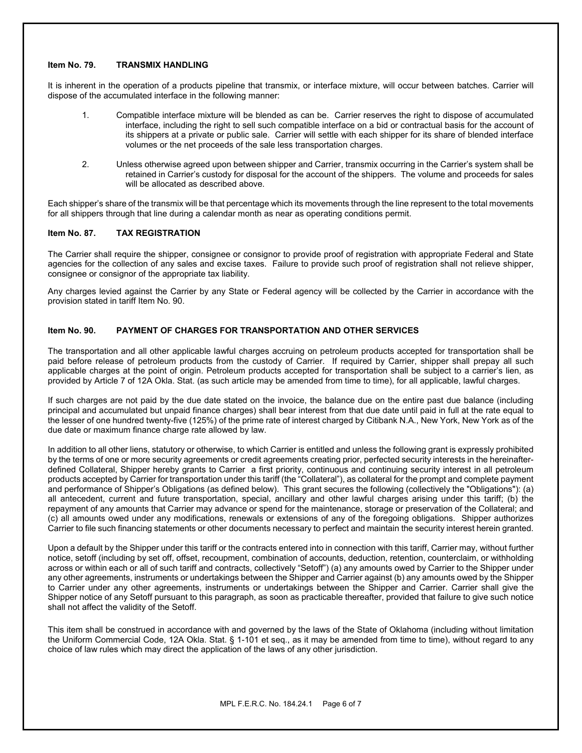#### **Item No. 79. TRANSMIX HANDLING**

It is inherent in the operation of a products pipeline that transmix, or interface mixture, will occur between batches. Carrier will dispose of the accumulated interface in the following manner:

- 1. Compatible interface mixture will be blended as can be. Carrier reserves the right to dispose of accumulated interface, including the right to sell such compatible interface on a bid or contractual basis for the account of its shippers at a private or public sale. Carrier will settle with each shipper for its share of blended interface volumes or the net proceeds of the sale less transportation charges.
- 2. Unless otherwise agreed upon between shipper and Carrier, transmix occurring in the Carrier's system shall be retained in Carrier's custody for disposal for the account of the shippers. The volume and proceeds for sales will be allocated as described above.

Each shipper's share of the transmix will be that percentage which its movements through the line represent to the total movements for all shippers through that line during a calendar month as near as operating conditions permit.

#### **Item No. 87. TAX REGISTRATION**

The Carrier shall require the shipper, consignee or consignor to provide proof of registration with appropriate Federal and State agencies for the collection of any sales and excise taxes. Failure to provide such proof of registration shall not relieve shipper, consignee or consignor of the appropriate tax liability.

Any charges levied against the Carrier by any State or Federal agency will be collected by the Carrier in accordance with the provision stated in tariff Item No. 90.

#### **Item No. 90. PAYMENT OF CHARGES FOR TRANSPORTATION AND OTHER SERVICES**

The transportation and all other applicable lawful charges accruing on petroleum products accepted for transportation shall be paid before release of petroleum products from the custody of Carrier. If required by Carrier, shipper shall prepay all such applicable charges at the point of origin. Petroleum products accepted for transportation shall be subject to a carrier's lien, as provided by Article 7 of 12A Okla. Stat. (as such article may be amended from time to time), for all applicable, lawful charges.

If such charges are not paid by the due date stated on the invoice, the balance due on the entire past due balance (including principal and accumulated but unpaid finance charges) shall bear interest from that due date until paid in full at the rate equal to the lesser of one hundred twenty-five (125%) of the prime rate of interest charged by Citibank N.A., New York, New York as of the due date or maximum finance charge rate allowed by law.

In addition to all other liens, statutory or otherwise, to which Carrier is entitled and unless the following grant is expressly prohibited by the terms of one or more security agreements or credit agreements creating prior, perfected security interests in the hereinafterdefined Collateral, Shipper hereby grants to Carrier a first priority, continuous and continuing security interest in all petroleum products accepted by Carrier for transportation under this tariff (the "Collateral"), as collateral for the prompt and complete payment and performance of Shipper's Obligations (as defined below). This grant secures the following (collectively the "Obligations"): (a) all antecedent, current and future transportation, special, ancillary and other lawful charges arising under this tariff; (b) the repayment of any amounts that Carrier may advance or spend for the maintenance, storage or preservation of the Collateral; and (c) all amounts owed under any modifications, renewals or extensions of any of the foregoing obligations. Shipper authorizes Carrier to file such financing statements or other documents necessary to perfect and maintain the security interest herein granted.

Upon a default by the Shipper under this tariff or the contracts entered into in connection with this tariff, Carrier may, without further notice, setoff (including by set off, offset, recoupment, combination of accounts, deduction, retention, counterclaim, or withholding across or within each or all of such tariff and contracts, collectively "Setoff") (a) any amounts owed by Carrier to the Shipper under any other agreements, instruments or undertakings between the Shipper and Carrier against (b) any amounts owed by the Shipper to Carrier under any other agreements, instruments or undertakings between the Shipper and Carrier. Carrier shall give the Shipper notice of any Setoff pursuant to this paragraph, as soon as practicable thereafter, provided that failure to give such notice shall not affect the validity of the Setoff.

This item shall be construed in accordance with and governed by the laws of the State of Oklahoma (including without limitation the Uniform Commercial Code, 12A Okla. Stat. § 1-101 et seq., as it may be amended from time to time), without regard to any choice of law rules which may direct the application of the laws of any other jurisdiction.